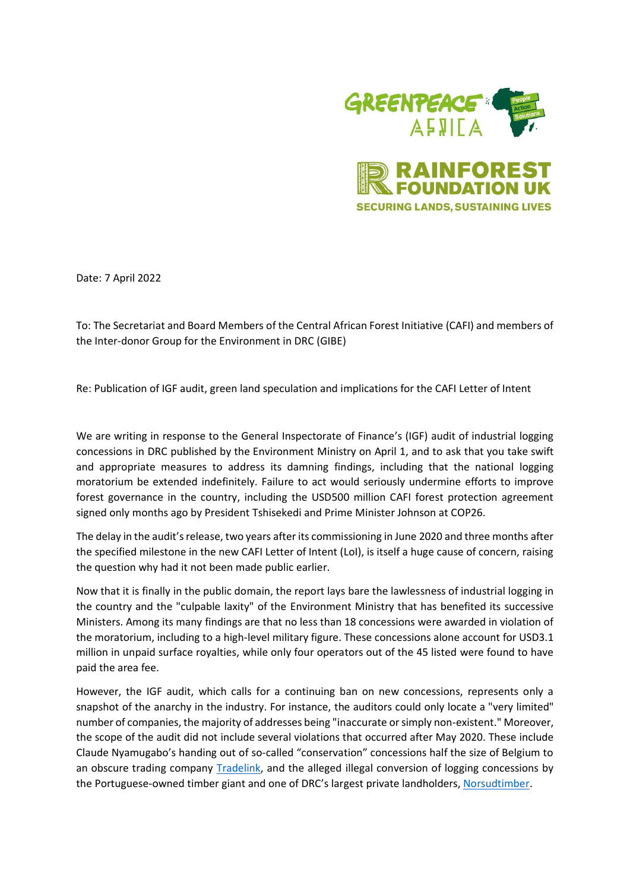

Date: 7 April 2022

To: The Secretariat and Board Members of the Central African Forest Initiative (CAFI) and members of the Inter-donor Group for the Environment in DRC (GIBE)

Re: Publication of IGF audit, green land speculation and implications for the CAFI Letter of Intent

We are writing in response to the General Inspectorate of Finance's (IGF) audit of industrial logging concessions in DRC published by the Environment Ministry on April 1, and to ask that you take swift and appropriate measures to address its damning findings, including that the national logging moratorium be extended indefinitely. Failure to act would seriously undermine efforts to improve forest governance in the country, including the USD500 million CAFI forest protection agreement signed only months ago by President Tshisekedi and Prime Minister Johnson at COP26.

The delay in the audit's release, two years after its commissioning in June 2020 and three months after the specified milestone in the new CAFI Letter of Intent (LoI), is itself a huge cause of concern, raising the question why had it not been made public earlier.

Now that it is finally in the public domain, the report lays bare the lawlessness of industrial logging in the country and the "culpable laxity" of the Environment Ministry that has benefited its successive Ministers. Among its many findings are that no less than 18 concessions were awarded in violation of the moratorium, including to a high-level military figure. These concessions alone account for USD3.1 million in unpaid surface royalties, while only four operators out of the 45 listed were found to have paid the area fee.

However, the IGF audit, which calls for a continuing ban on new concessions, represents only a snapshot of the anarchy in the industry. For instance, the auditors could only locate a "very limited" number of companies, the majority of addresses being "inaccurate or simply non-existent." Moreover, the scope of the audit did not include several violations that occurred after May 2020. These include Claude Nyamugabo's handing out of so-called "conservation" concessions half the size of Belgium to an obscure trading company [Tradelink,](https://www.greenpeace.org/africa/en/press/13844/a-belgian-concessionaire-in-congos-forest-again/) and the alleged illegal conversion of logging concessions by the Portuguese-owned timber giant and one of DRC's largest private landholders, [Norsudtimber.](https://news.mongabay.com/2022/03/revealed-timber-giant-quietly-converts-congo-logging-sites-to-carbon-schemes/)